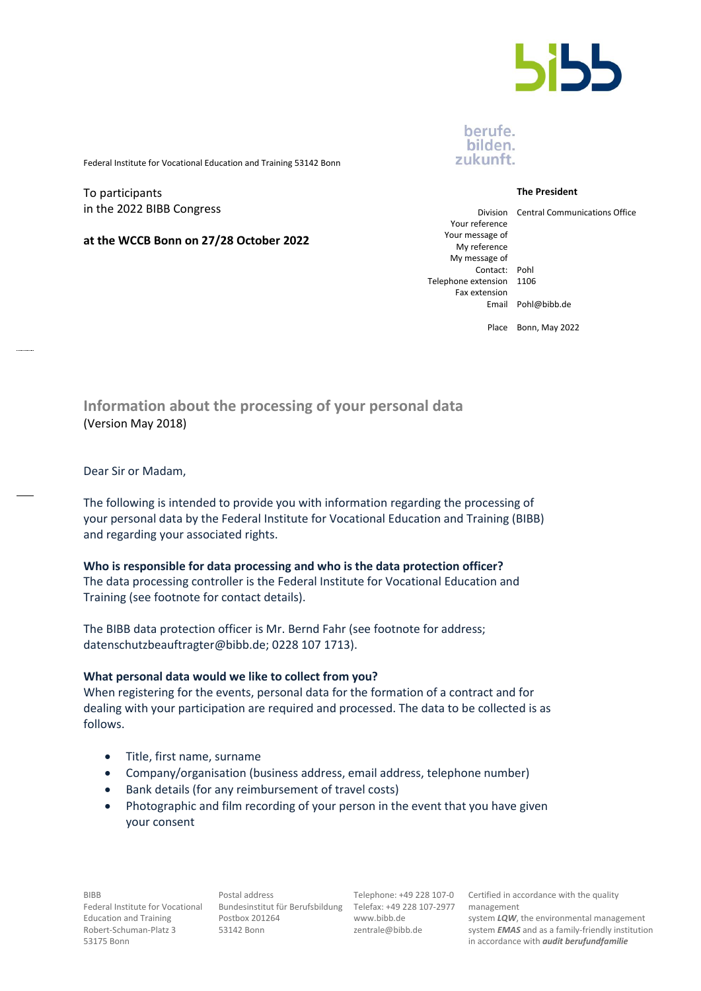

## berufe. bilden. zukunft.

Federal Institute for Vocational Education and Training 53142 Bonn

To participants in the 2022 BIBB Congress

**at the WCCB Bonn on 27/28 October 2022**

#### **The President**

Division Central Communications Office

Your reference Your message of My reference My message of Contact: Pohl Telephone extension 1106 Fax extension

Email Pohl@bibb.de

Place Bonn, May 2022

**Information about the processing of your personal data** (Version May 2018)

Dear Sir or Madam,

The following is intended to provide you with information regarding the processing of your personal data by the Federal Institute for Vocational Education and Training (BIBB) and regarding your associated rights.

#### **Who is responsible for data processing and who is the data protection officer?**

The data processing controller is the Federal Institute for Vocational Education and Training (see footnote for contact details).

The BIBB data protection officer is Mr. Bernd Fahr (see footnote for address; datenschutzbeauftragter@bibb.de; 0228 107 1713).

#### **What personal data would we like to collect from you?**

When registering for the events, personal data for the formation of a contract and for dealing with your participation are required and processed. The data to be collected is as follows.

- Title, first name, surname
- Company/organisation (business address, email address, telephone number)
- Bank details (for any reimbursement of travel costs)
- Photographic and film recording of your person in the event that you have given your consent

BIBB Federal Institute for Vocational Bundesinstitut für Berufsbildung Telefax: +49 228 107-2977 Education and Training Robert-Schuman-Platz 3 53175 Bonn

Postal address Postbox 201264 53142 Bonn

Telephone: +49 228 107-0 www.bibb.de zentrale@bibb.de

Certified in accordance with the quality management

system *LQW*, the environmental management system *EMAS* and as a family-friendly institution in accordance with *audit berufundfamilie*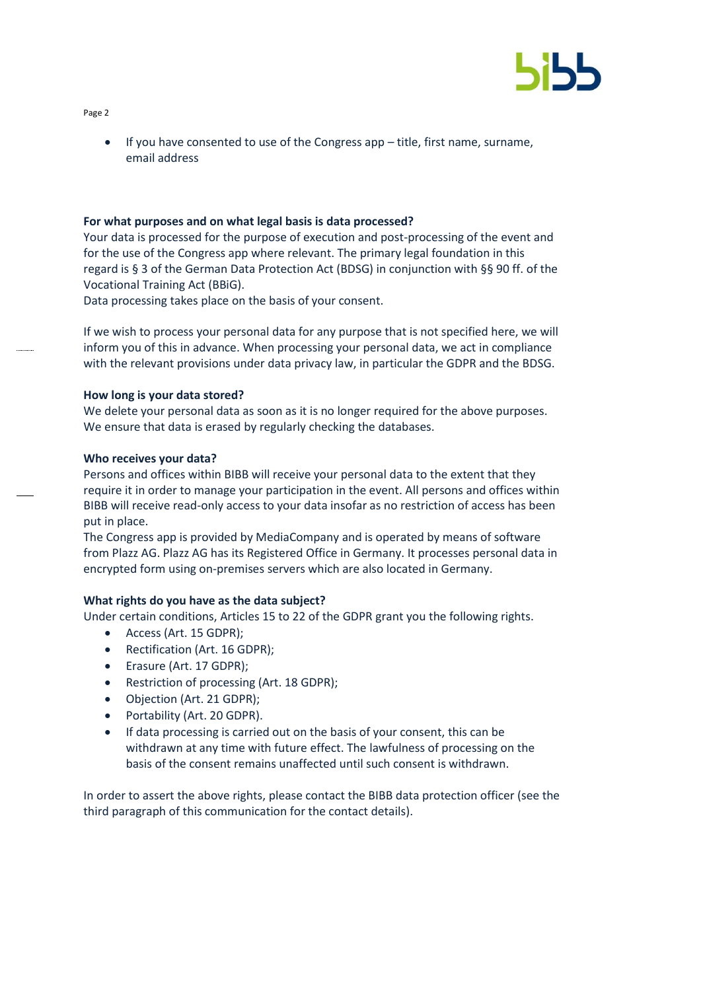

Page 2

• If you have consented to use of the Congress app – title, first name, surname, email address

#### **For what purposes and on what legal basis is data processed?**

Your data is processed for the purpose of execution and post-processing of the event and for the use of the Congress app where relevant. The primary legal foundation in this regard is § 3 of the German Data Protection Act (BDSG) in conjunction with §§ 90 ff. of the Vocational Training Act (BBiG).

Data processing takes place on the basis of your consent.

If we wish to process your personal data for any purpose that is not specified here, we will inform you of this in advance. When processing your personal data, we act in compliance with the relevant provisions under data privacy law, in particular the GDPR and the BDSG.

### **How long is your data stored?**

We delete your personal data as soon as it is no longer required for the above purposes. We ensure that data is erased by regularly checking the databases.

### **Who receives your data?**

Persons and offices within BIBB will receive your personal data to the extent that they require it in order to manage your participation in the event. All persons and offices within BIBB will receive read-only access to your data insofar as no restriction of access has been put in place.

The Congress app is provided by MediaCompany and is operated by means of software from Plazz AG. Plazz AG has its Registered Office in Germany. It processes personal data in encrypted form using on-premises servers which are also located in Germany.

## **What rights do you have as the data subject?**

Under certain conditions, Articles 15 to 22 of the GDPR grant you the following rights.

- Access (Art. 15 GDPR);
- Rectification (Art. 16 GDPR);
- Erasure (Art. 17 GDPR);
- Restriction of processing (Art. 18 GDPR);
- Objection (Art. 21 GDPR);
- Portability (Art. 20 GDPR).
- If data processing is carried out on the basis of your consent, this can be withdrawn at any time with future effect. The lawfulness of processing on the basis of the consent remains unaffected until such consent is withdrawn.

In order to assert the above rights, please contact the BIBB data protection officer (see the third paragraph of this communication for the contact details).